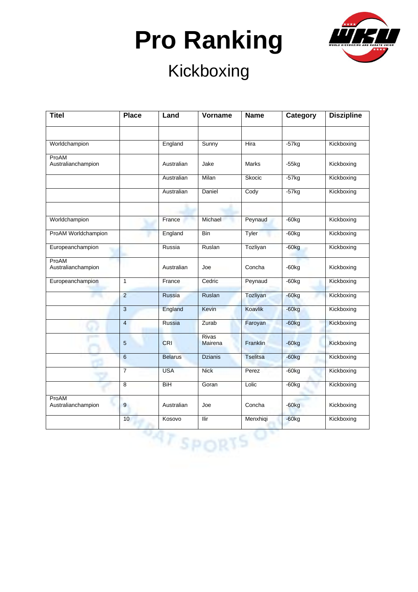

| <b>Titel</b>                | <b>Place</b>   | Land           | Vorname          | <b>Name</b>     | Category | <b>Diszipline</b> |
|-----------------------------|----------------|----------------|------------------|-----------------|----------|-------------------|
|                             |                |                |                  |                 |          |                   |
| Worldchampion               |                | England        | Sunny            | Hira            | $-57$ kg | Kickboxing        |
| ProAM<br>Australianchampion |                | Australian     | Jake             | Marks           | $-55kg$  | Kickboxing        |
|                             |                | Australian     | Milan            | Skocic          | $-57kg$  | Kickboxing        |
|                             |                | Australian     | Daniel           | Cody            | $-57$ kg | Kickboxing        |
|                             |                |                |                  |                 |          |                   |
| Worldchampion               |                | France         | Michael          | Peynaud         | $-60kg$  | Kickboxing        |
| ProAM Worldchampion         |                | England        | Bin              | Tyler           | $-60kg$  | Kickboxing        |
| Europeanchampion            |                | Russia         | Ruslan           | Tozliyan        | $-60kg$  | Kickboxing        |
| ProAM<br>Australianchampion |                | Australian     | Joe              | Concha          | $-60kg$  | Kickboxing        |
| Europeanchampion            | $\mathbf{1}$   | France         | Cedric           | Peynaud         | $-60kg$  | Kickboxing        |
|                             | $\overline{2}$ | <b>Russia</b>  | Ruslan           | Tozliyan        | $-60kg$  | Kickboxing        |
|                             | $\mathbf{3}$   | England        | Kevin            | Koavlik         | $-60kg$  | Kickboxing        |
|                             | $\overline{4}$ | <b>Russia</b>  | Zurab            | Faroyan         | $-60kg$  | Kickboxing        |
|                             | 5              | <b>CRI</b>     | Rivas<br>Mairena | <b>Franklin</b> | $-60kg$  | Kickboxing        |
|                             | $6\phantom{1}$ | <b>Belarus</b> | <b>Dzianis</b>   | <b>Tselitsa</b> | $-60kg$  | Kickboxing        |
|                             | $\overline{7}$ | <b>USA</b>     | <b>Nick</b>      | Perez           | $-60kg$  | Kickboxing        |
|                             | 8              | BiH            | Goran            | Lolic           | $-60kg$  | Kickboxing        |
| ProAM<br>Australianchampion | 9              | Australian     | Joe              | Concha          | $-60kg$  | Kickboxing        |
|                             | 10             | Kosovo         | Ilir             | Menxhiqi        | $-60kg$  | Kickboxing        |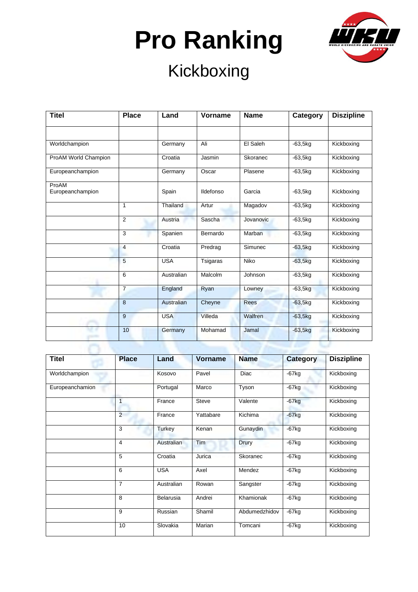

| <b>Titel</b>              | <b>Place</b>   | Land       | <b>Vorname</b> | <b>Name</b> | Category  | <b>Diszipline</b> |
|---------------------------|----------------|------------|----------------|-------------|-----------|-------------------|
|                           |                |            |                |             |           |                   |
| Worldchampion             |                | Germany    | Ali            | El Saleh    | $-63,5kq$ | Kickboxing        |
| ProAM World Champion      |                | Croatia    | Jasmin         | Skoranec    | $-63,5kg$ | Kickboxing        |
| Europeanchampion          |                | Germany    | Oscar          | Plasene     | $-63,5kg$ | Kickboxing        |
| ProAM<br>Europeanchampion |                | Spain      | Ildefonso      | Garcia      | $-63,5kq$ | Kickboxing        |
|                           | $\mathbf{1}$   | Thailand   | Artur          | Magadov     | $-63,5kg$ | Kickboxing        |
|                           | 2              | Austria    | Sascha         | Jovanovic   | $-63,5kg$ | Kickboxing        |
|                           | 3              | Spanien    | Bernardo       | Marban      | $-63,5kg$ | Kickboxing        |
|                           | 4              | Croatia    | Predrag        | Simunec     | $-63,5kg$ | Kickboxing        |
|                           | 5              | <b>USA</b> | Tsigaras       | Niko        | $-63,5kg$ | Kickboxing        |
|                           | 6              | Australian | Malcolm        | Johnson     | $-63,5kg$ | Kickboxing        |
|                           | $\overline{7}$ | England    | Ryan           | Lowney      | $-63,5kg$ | Kickboxing        |
|                           | 8              | Australian | Cheyne         | <b>Rees</b> | $-63,5kg$ | Kickboxing        |
|                           | 9              | <b>USA</b> | Villeda        | Walfren     | $-63,5kg$ | Kickboxing        |
|                           | 10             | Germany    | Mohamad        | Jamal       | $-63,5kg$ | Kickboxing        |

| <b>Titel</b>    | <b>Place</b>   | Land       | <b>Vorname</b> | <b>Name</b>   | <b>Category</b> | <b>Diszipline</b> |
|-----------------|----------------|------------|----------------|---------------|-----------------|-------------------|
| Worldchampion   |                | Kosovo     | Pavel          | Diac          | $-67$ kg        | Kickboxing        |
| Europeanchamion |                | Portugal   | Marco          | Tyson         | $-67kg$         | Kickboxing        |
|                 | $\overline{1}$ | France     | <b>Steve</b>   | Valente       | $-67$ kg        | Kickboxing        |
|                 | $\mathcal{P}$  | France     | Yattabare      | Kichima       | $-67$ kg        | Kickboxing        |
|                 | 3              | Turkey     | Kenan          | Gunaydin      | $-67kg$         | Kickboxing        |
|                 | 4              | Australian | Tim            | Drury         | $-67$ kg        | Kickboxing        |
|                 | 5              | Croatia    | Jurica         | Skoranec      | $-67kg$         | Kickboxing        |
|                 | 6              | <b>USA</b> | Axel           | Mendez        | $-67$ kg        | Kickboxing        |
|                 | 7              | Australian | Rowan          | Sangster      | $-67$ kg        | Kickboxing        |
|                 | 8              | Belarusia  | Andrei         | Khamionak     | $-67$ kg        | Kickboxing        |
|                 | 9              | Russian    | Shamil         | Abdumedzhidov | $-67$ kg        | Kickboxing        |
|                 | 10             | Slovakia   | Marian         | Tomcani       | $-67$ kg        | Kickboxing        |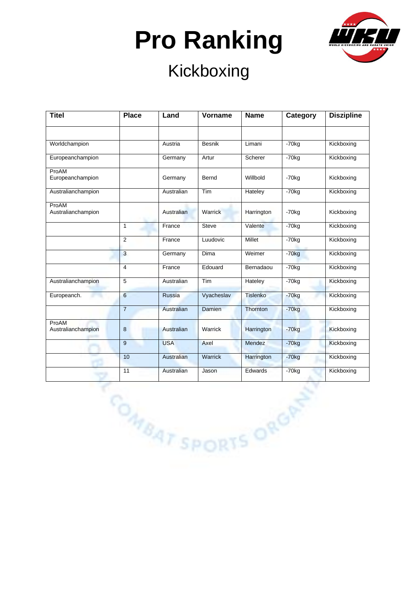

| <b>Place</b>   | Land       | Vorname      | <b>Name</b> | Category            | <b>Diszipline</b>         |
|----------------|------------|--------------|-------------|---------------------|---------------------------|
|                |            |              |             |                     |                           |
|                | Austria    | Besnik       | Limani      | $-70kg$             | Kickboxing                |
|                | Germany    | Artur        | Scherer     | $-70$ kg            | Kickboxing                |
|                | Germany    | Bernd        | Willbold    | $-70$ <sub>kg</sub> | Kickboxing                |
|                | Australian | <b>Tim</b>   | Hateley     | $-70$ <sub>kg</sub> | Kickboxing                |
|                | Australian | Warrick      | Harrington  | $-70$ kg            | Kickboxing                |
| $\mathbf{1}$   | France     | <b>Steve</b> | Valente     | $-70kg$             | Kickboxing                |
| $\overline{2}$ | France     | Luudovic     | Millet      | $-70kg$             | Kickboxing                |
| $\mathbf{3}$   | Germany    | Dima         | Weimer      | $-70kg$             | Kickboxing                |
| $\overline{4}$ | France     | Edouard      | Bernadaou   | $-70kg$             | Kickboxing                |
| 5              | Australian | Tim          | Hateley     | $-70kg$             | Kickboxing                |
| $6\phantom{a}$ | Russia     | Vyacheslav   | Tislenko    | $-70kg$             | Kickboxing                |
| $\overline{7}$ | Australian | Damien       | Thornton    | $-70kg$             | Kickboxing                |
| 8              | Australian | Warrick      | Harrington  | $-70kg$             | Kickboxing                |
| 9              | <b>USA</b> | Axel         | Mendez      | $-70kg$             | Kickboxing                |
| 10             | Australian | Warrick      | Harrington  | $-70kg$             | Kickboxing                |
| 11             | Australian | Jason        | Edwards     | $-70kg$             | Kickboxing                |
|                |            |              |             |                     |                           |
|                |            |              |             |                     |                           |
|                |            |              |             |                     |                           |
|                |            |              |             |                     |                           |
|                |            |              |             |                     |                           |
|                |            |              |             |                     |                           |
|                |            |              |             |                     | <b>COMBAT SPORTS ORGP</b> |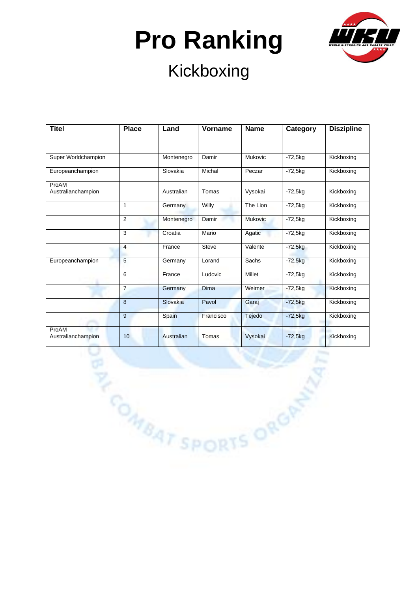

### Kickboxing

| <b>Titel</b>                | <b>Place</b>    | Land       | Vorname     | <b>Name</b>    | Category  | <b>Diszipline</b> |
|-----------------------------|-----------------|------------|-------------|----------------|-----------|-------------------|
|                             |                 |            |             |                |           |                   |
| Super Worldchampion         |                 | Montenegro | Damir       | Mukovic        | $-72,5kg$ | Kickboxing        |
| Europeanchampion            |                 | Slovakia   | Michal      | Peczar         | $-72,5kg$ | Kickboxing        |
| ProAM<br>Australianchampion |                 | Australian | Tomas       | Vysokai        | $-72,5kg$ | Kickboxing        |
|                             | $\mathbf{1}$    | Germany    | Willy       | The Lion       | $-72,5kg$ | Kickboxing        |
|                             | 2               | Montenegro | Damir       | <b>Mukovic</b> | $-72,5kg$ | Kickboxing        |
|                             | 3               | Croatia    | Mario       | Agatic         | $-72,5kg$ | Kickboxing        |
|                             | $\overline{4}$  | France     | Steve       | Valente        | $-72,5kg$ | Kickboxing        |
| Europeanchampion            | 5               | Germany    | Lorand      | Sachs          | $-72,5kg$ | Kickboxing        |
|                             | 6               | France     | Ludovic     | Millet         | $-72,5kg$ | Kickboxing        |
|                             | $\overline{7}$  | Germany    | <b>Dima</b> | Weimer         | $-72,5kg$ | Kickboxing        |
|                             | $\overline{8}$  | Slovakia   | Pavol       | Garaj          | $-72,5kg$ | Kickboxing        |
|                             | 9               | Spain      | Francisco   | Tejedo         | $-72,5kg$ | Kickboxing        |
| ProAM<br>Australianchampion | 10              | Australian | Tomas       | Vysokai        | $-72,5kg$ | Kickboxing        |
|                             | <b>BARATSPI</b> |            |             |                |           |                   |
|                             |                 |            |             | DRTS ORGAN     |           |                   |
|                             |                 |            |             |                |           |                   |
|                             |                 |            |             |                |           |                   |
|                             |                 |            |             |                |           |                   |
|                             |                 |            |             |                |           |                   |
|                             |                 |            |             |                |           |                   |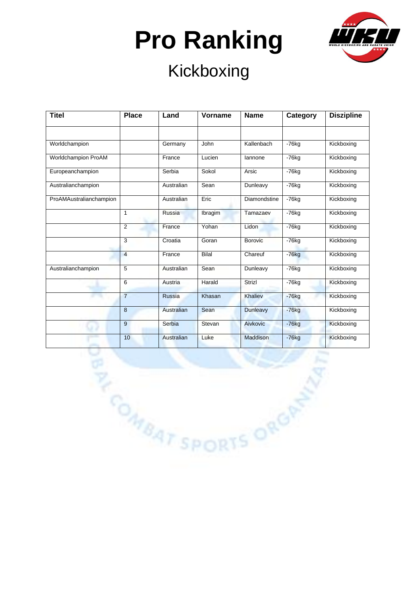

#### Kickboxing

| <b>Titel</b>               | <b>Place</b>     | Land       | Vorname              | <b>Name</b>     | Category | <b>Diszipline</b> |
|----------------------------|------------------|------------|----------------------|-----------------|----------|-------------------|
|                            |                  |            |                      |                 |          |                   |
| Worldchampion              |                  | Germany    | John                 | Kallenbach      | $-76kg$  | Kickboxing        |
| <b>Worldchampion ProAM</b> |                  | France     | Lucien               | lannone         | $-76$ kg | Kickboxing        |
| Europeanchampion           |                  | Serbia     | Sokol                | Arsic           | $-76$ kg | Kickboxing        |
| Australianchampion         |                  | Australian | Sean                 | Dunleavy        | $-76kg$  | Kickboxing        |
| ProAMAustralianchampion    |                  | Australian | Eric                 | Diamondstine    | $-76kg$  | Kickboxing        |
|                            | $\mathbf{1}$     | Russia     | Ibragim              | Tamazaev        | $-76kg$  | Kickboxing        |
|                            | $\overline{2}$   | France     | Yohan                | Lidon           | $-76kg$  | Kickboxing        |
|                            | 3                | Croatia    | Goran                | <b>Borovic</b>  | $-76kg$  | Kickboxing        |
|                            | $\overline{4}$   | France     | Bilal                | Chareuf         | $-76kg$  | Kickboxing        |
| Australianchampion         | 5                | Australian | Sean                 | Dunleavy        | $-76kg$  | Kickboxing        |
|                            | 6                | Austria    | Harald               | Strizl          | $-76kg$  | Kickboxing        |
|                            | $\overline{7}$   | Russia     | Khasan               | Khaliev         | $-76kg$  | Kickboxing        |
|                            | $\bf 8$          | Australian | Sean                 | <b>Dunleavy</b> | $-76kg$  | Kickboxing        |
|                            | $\boldsymbol{9}$ | Serbia     | Stevan               | Aivkovic        | $-76kg$  | Kickboxing        |
|                            | 10               | Australian | Luke                 | Maddison        | $-76kg$  | Kickboxing        |
|                            |                  |            |                      |                 |          |                   |
|                            |                  |            |                      |                 |          |                   |
|                            |                  |            |                      |                 |          |                   |
|                            |                  |            |                      |                 |          |                   |
|                            |                  |            |                      |                 |          |                   |
|                            |                  |            |                      |                 |          |                   |
|                            |                  |            | <b>BAT SPORTS OF</b> |                 |          |                   |
|                            |                  |            |                      |                 |          |                   |
|                            |                  |            |                      |                 |          |                   |
|                            |                  |            |                      |                 |          |                   |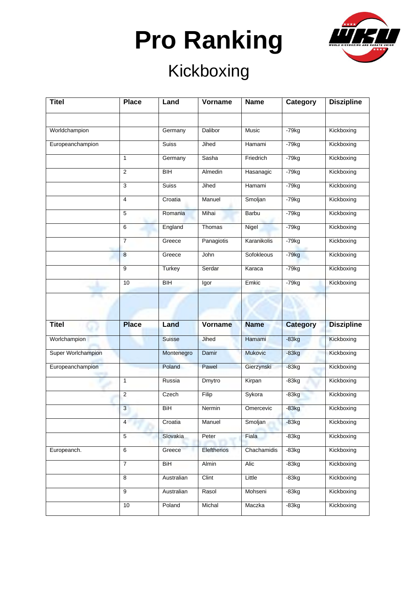

| <b>Titel</b>       | <b>Place</b>   | Land            | Vorname     | <b>Name</b>    | Category        | <b>Diszipline</b> |
|--------------------|----------------|-----------------|-------------|----------------|-----------------|-------------------|
|                    |                |                 |             |                |                 |                   |
| Worldchampion      |                | Germany         | Dalibor     | Music          | $-79kg$         | Kickboxing        |
| Europeanchampion   |                | <b>Suiss</b>    | Jihed       | Hamami         | $-79kg$         | Kickboxing        |
|                    | $\mathbf{1}$   | Germany         | Sasha       | Friedrich      | $-79kg$         | Kickboxing        |
|                    | $\overline{2}$ | <b>BIH</b>      | Almedin     | Hasanagic      | $-79kg$         | Kickboxing        |
|                    | $\mathsf 3$    | <b>Suiss</b>    | Jihed       | Hamami         | $-79kg$         | Kickboxing        |
|                    | 4              | Croatia         | Manuel      | Smoljan        | $-79kg$         | Kickboxing        |
|                    | 5              | Romania         | Mihai       | Barbu          | $-79kg$         | Kickboxing        |
|                    | 6              | England         | Thomas      | Nigel          | $-79kg$         | Kickboxing        |
|                    | $\overline{7}$ | Greece          | Panagiotis  | Karanikolis    | $-79kg$         | Kickboxing        |
|                    | 8              | Greece          | John        | Sofokleous     | $-79kg$         | Kickboxing        |
|                    | 9              | Turkey          | Serdar      | Karaca         | $-79kg$         | Kickboxing        |
|                    | 10             | $\overline{BH}$ | Igor        | Emkic          | $-79kg$         | Kickboxing        |
|                    |                |                 |             |                |                 |                   |
|                    |                |                 |             |                |                 |                   |
| <b>Titel</b>       | <b>Place</b>   | Land            | Vorname     | <b>Name</b>    | <b>Category</b> | <b>Diszipline</b> |
| Worlchampion       |                | Suisse          | Jihed       | Hamami         | $-83kg$         | Kickboxing        |
| Super Worlchampion |                | Montenegro      | Damir       | <b>Mukovic</b> | $-83kg$         | Kickboxing        |
| Europeanchampion   |                | Poland          | Pawel       | Gierzynski     | $-83kg$         | Kickboxing        |
|                    | 1              | Russia          | Dmytro      | Kirpan         | $-83kg$         | Kickboxing        |
|                    | $\overline{2}$ | Czech           | Filip       | Sykora         | $-83kg$         | Kickboxing        |
|                    | $\mathbf{3}$   | BiH             | Nermin      | Omercevic      | $-83kg$         | Kickboxing        |
|                    | 4              | Croatia         | Manuel      | Smoljan        | $-83kg$         | Kickboxing        |
|                    | 5              | Slovakia        | Peter       | Fiala          | $-83kg$         | Kickboxing        |
| Europeanch.        | $\,6$          | Greece          | Eleftherios | Chachamidis    | $-83kg$         | Kickboxing        |
|                    | $\overline{7}$ | BiH             | Almin       | Alic           | $-83kg$         | Kickboxing        |
|                    | 8              | Australian      | Clint       | Little         | $-83kg$         | Kickboxing        |
|                    | 9              | Australian      | Rasol       | Mohseni        | $-83kg$         | Kickboxing        |
|                    |                |                 |             |                |                 |                   |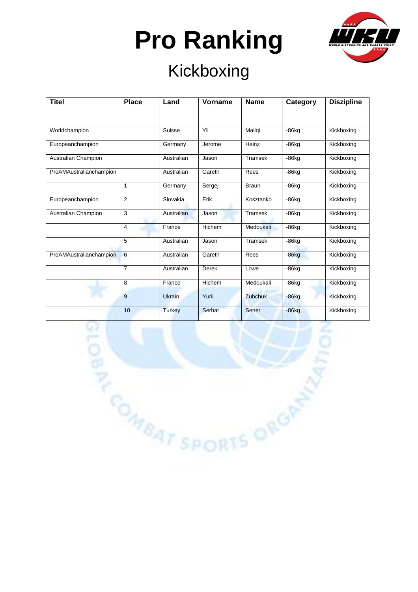

#### Kickboxing

| <b>Titel</b>            | <b>Place</b>   | Land          | Vorname | <b>Name</b>    | Category | <b>Diszipline</b> |
|-------------------------|----------------|---------------|---------|----------------|----------|-------------------|
|                         |                |               |         |                |          |                   |
| Worldchampion           |                | Suisse        | YII     | Maliqi         | $-86$ kg | Kickboxing        |
| Europeanchampion        |                | Germany       | Jerome  | Heinz          | $-86$ kg | Kickboxing        |
| Australian Champion     |                | Australian    | Jason   | <b>Tramsek</b> | $-86kq$  | Kickboxing        |
| ProAMAustralianchampion |                | Australian    | Gareth  | Rees           | $-86$ kg | Kickboxing        |
|                         | 1              | Germany       | Sergej  | <b>Braun</b>   | $-86$ kg | Kickboxing        |
| Europeanchampion        | 2              | Slovakia      | Erik    | Kosztanko      | $-86$ kg | Kickboxing        |
| Australian Champion     | 3              | Australian    | Jason   | <b>Tramsek</b> | $-86$ kg | Kickboxing        |
|                         | 4              | France        | Hichem  | Medoukali      | $-86$ kg | Kickboxing        |
|                         | 5              | Australian    | Jason   | Tramsek        | $-86$ kg | Kickboxing        |
| ProAMAustralianchampion | 6              | Australian    | Gareth  | Rees           | $-86kg$  | Kickboxing        |
|                         | $\overline{7}$ | Australian    | Derek   | Lowe           | $-86$ kg | Kickboxing        |
|                         | 8              | France        | Hichem  | Medoukali      | $-86$ kg | Kickboxing        |
|                         | 9              | Ukrain        | Yurii   | Zubchuk        | $-86kg$  | Kickboxing        |
|                         | 10             | <b>Turkey</b> | Serhat  | Sener          | $-86kg$  | Kickboxing        |

**PARAT SPORTS ORGA**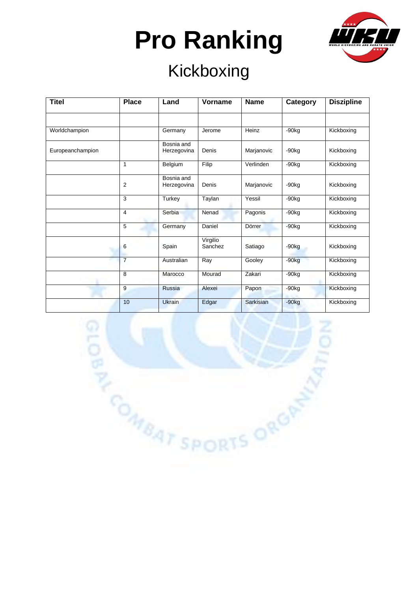

#### Kickboxing

| <b>Titel</b>     | <b>Place</b>   | Land                      | Vorname             | <b>Name</b>      | Category            | <b>Diszipline</b> |
|------------------|----------------|---------------------------|---------------------|------------------|---------------------|-------------------|
|                  |                |                           |                     |                  |                     |                   |
| Worldchampion    |                | Germany                   | Jerome              | Heinz            | $-90kg$             | Kickboxing        |
| Europeanchampion |                | Bosnia and<br>Herzegovina | Denis               | Marjanovic       | $-90kg$             | Kickboxing        |
|                  | 1              | Belgium                   | Filip               | Verlinden        | $-90kg$             | Kickboxing        |
|                  | $\overline{2}$ | Bosnia and<br>Herzegovina | Denis               | Marjanovic       | $-90kq$             | Kickboxing        |
|                  | 3              | Turkey                    | Taylan              | Yessil           | $-90kq$             | Kickboxing        |
|                  | 4              | Serbia                    | Nenad               | Pagonis          | $-90kq$             | Kickboxing        |
|                  | 5              | Germany                   | Daniel              | Dörrer           | $-90kq$             | Kickboxing        |
|                  | 6              | Spain                     | Virgilio<br>Sanchez | Satiago          | $-90kg$             | Kickboxing        |
|                  | $\overline{7}$ | Australian                | Ray                 | Gooley           | $-90kg$             | Kickboxing        |
|                  | 8              | Marocco                   | Mourad              | Zakari           | $-90$ <sub>kg</sub> | Kickboxing        |
|                  | 9              | Russia                    | Alexei              | Papon            | $-90k$              | Kickboxing        |
|                  | 10             | <b>Ukrain</b>             | Edgar               | <b>Sarkisian</b> | $-90kg$             | Kickboxing        |

DRTS ORGAN

**PORTSPO**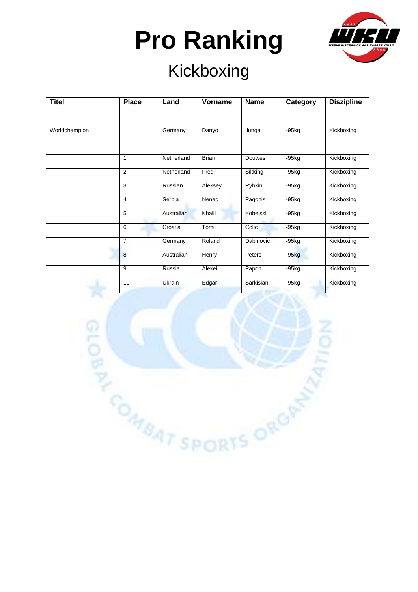

### Kickboxing

| <b>Titel</b>  | <b>Place</b>   | Land       | Vorname      | <b>Name</b> | Category | <b>Diszipline</b> |
|---------------|----------------|------------|--------------|-------------|----------|-------------------|
|               |                |            |              |             |          |                   |
| Worldchampion |                | Germany    | Danyo        | Ilunga      | $-95$ kg | Kickboxing        |
|               |                |            |              |             |          |                   |
|               | 1              | Netherland | <b>Brian</b> | Douwes      | $-95kg$  | Kickboxing        |
|               | $\overline{2}$ | Netherland | Fred         | Sikking     | $-95kg$  | Kickboxing        |
|               | 3              | Russian    | Aleksey      | Rybkin      | $-95$ kg | Kickboxing        |
|               | 4              | Serbia     | Nenad        | Pagonis     | $-95kg$  | Kickboxing        |
|               | 5              | Australian | Khalil       | Kobeissi    | $-95$ kg | Kickboxing        |
|               | 6              | Croatia    | Tomi         | Colic       | $-95$ kg | Kickboxing        |
|               | $\overline{7}$ | Germany    | Roland       | Dabinovic   | $-95$ kg | Kickboxing        |
|               | 8              | Australian | Henry        | Peters      | $-95kg$  | Kickboxing        |
|               | 9              | Russia     | Alexei       | Papon       | $-95kg$  | Kickboxing        |
|               | 10             | Ukrain     | Edgar        | Sarkisian   | $-95kg$  | Kickboxing        |

**PARAT SPORTS ORGAN**